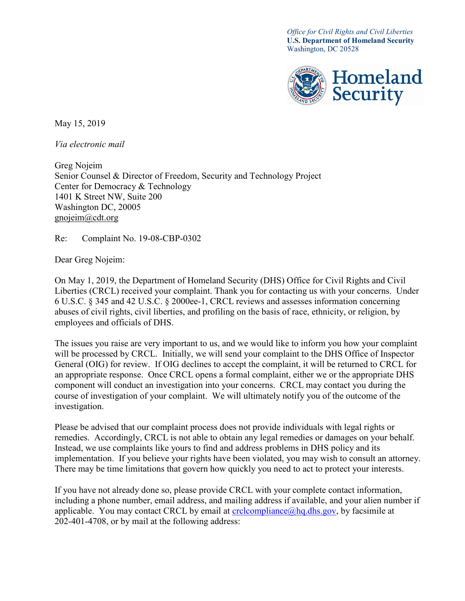*Office for Civil Rights and Civil Liberties* **U.S. Department of Homeland Security** Washington, DC 20528



May 15, 2019

*Via electronic mail* 

Greg Nojeim Senior Counsel & Director of Freedom, Security and Technology Project Center for Democracy & Technology 1401 K Street NW, Suite 200 Washington DC, 20005 gnojeim@cdt.org

Re: Complaint No. 19-08-CBP-0302

Dear Greg Nojeim:

On May 1, 2019, the Department of Homeland Security (DHS) Office for Civil Rights and Civil Liberties (CRCL) received your complaint. Thank you for contacting us with your concerns. Under 6 U.S.C. § 345 and 42 U.S.C. § 2000ee-1, CRCL reviews and assesses information concerning abuses of civil rights, civil liberties, and profiling on the basis of race, ethnicity, or religion, by employees and officials of DHS.

The issues you raise are very important to us, and we would like to inform you how your complaint will be processed by CRCL. Initially, we will send your complaint to the DHS Office of Inspector General (OIG) for review. If OIG declines to accept the complaint, it will be returned to CRCL for an appropriate response. Once CRCL opens a formal complaint, either we or the appropriate DHS component will conduct an investigation into your concerns. CRCL may contact you during the course of investigation of your complaint. We will ultimately notify you of the outcome of the investigation.

Please be advised that our complaint process does not provide individuals with legal rights or remedies. Accordingly, CRCL is not able to obtain any legal remedies or damages on your behalf. Instead, we use complaints like yours to find and address problems in DHS policy and its implementation. If you believe your rights have been violated, you may wish to consult an attorney. There may be time limitations that govern how quickly you need to act to protect your interests.

If you have not already done so, please provide CRCL with your complete contact information, including a phone number, email address, and mailing address if available, and your alien number if applicable. You may contact CRCL by email at  $\text{crclcompliance}(\hat{\omega})$  hg.dhs.gov, by facsimile at 202-401-4708, or by mail at the following address: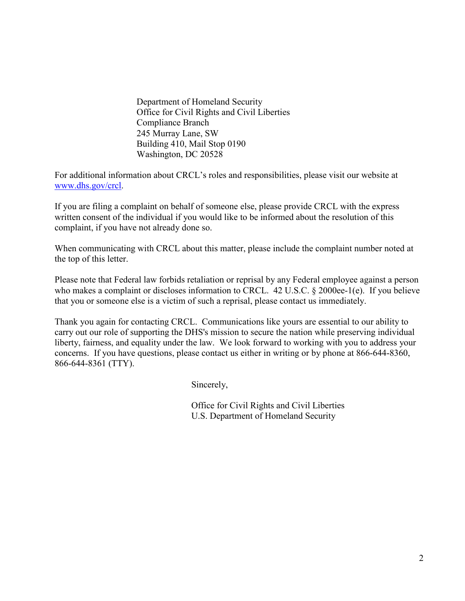Department of Homeland Security Office for Civil Rights and Civil Liberties Compliance Branch 245 Murray Lane, SW Building 410, Mail Stop 0190 Washington, DC 20528

For additional information about CRCL's roles and responsibilities, please visit our website at [www.dhs.gov/crcl.](http://www.dhs.gov/crcl)

If you are filing a complaint on behalf of someone else, please provide CRCL with the express written consent of the individual if you would like to be informed about the resolution of this complaint, if you have not already done so.

When communicating with CRCL about this matter, please include the complaint number noted at the top of this letter.

Please note that Federal law forbids retaliation or reprisal by any Federal employee against a person who makes a complaint or discloses information to CRCL. 42 U.S.C. § 2000ee-1(e). If you believe that you or someone else is a victim of such a reprisal, please contact us immediately.

Thank you again for contacting CRCL. Communications like yours are essential to our ability to carry out our role of supporting the DHS's mission to secure the nation while preserving individual liberty, fairness, and equality under the law. We look forward to working with you to address your concerns. If you have questions, please contact us either in writing or by phone at 866-644-8360, 866-644-8361 (TTY).

Sincerely,

Office for Civil Rights and Civil Liberties U.S. Department of Homeland Security